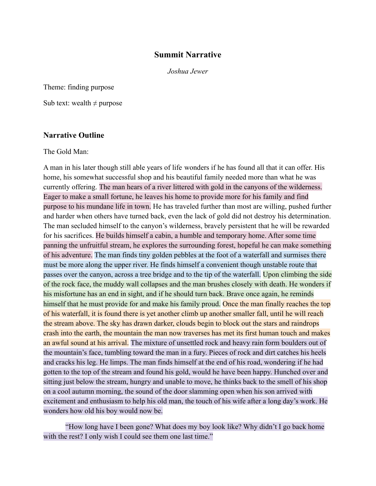# **Summit Narrative**

*Joshua Jewer*

Theme: finding purpose

Sub text: wealth  $\neq$  purpose

#### **Narrative Outline**

The Gold Man:

A man in his later though still able years of life wonders if he has found all that it can offer. His home, his somewhat successful shop and his beautiful family needed more than what he was currently offering. The man hears of a river littered with gold in the canyons of the wilderness. Eager to make a small fortune, he leaves his home to provide more for his family and find purpose to his mundane life in town. He has traveled further than most are willing, pushed further and harder when others have turned back, even the lack of gold did not destroy his determination. The man secluded himself to the canyon's wilderness, bravely persistent that he will be rewarded for his sacrifices. He builds himself a cabin, a humble and temporary home. After some time panning the unfruitful stream, he explores the surrounding forest, hopeful he can make something of his adventure. The man finds tiny golden pebbles at the foot of a waterfall and surmises there must be more along the upper river. He finds himself a convenient though unstable route that passes over the canyon, across a tree bridge and to the tip of the waterfall. Upon climbing the side of the rock face, the muddy wall collapses and the man brushes closely with death. He wonders if his misfortune has an end in sight, and if he should turn back. Brave once again, he reminds himself that he must provide for and make his family proud. Once the man finally reaches the top of his waterfall, it is found there is yet another climb up another smaller fall, until he will reach the stream above. The sky has drawn darker, clouds begin to block out the stars and raindrops crash into the earth, the mountain the man now traverses has met its first human touch and makes an awful sound at his arrival. The mixture of unsettled rock and heavy rain form boulders out of the mountain's face, tumbling toward the man in a fury. Pieces of rock and dirt catches his heels and cracks his leg. He limps. The man finds himself at the end of his road, wondering if he had gotten to the top of the stream and found his gold, would he have been happy. Hunched over and sitting just below the stream, hungry and unable to move, he thinks back to the smell of his shop on a cool autumn morning, the sound of the door slamming open when his son arrived with excitement and enthusiasm to help his old man, the touch of his wife after a long day's work. He wonders how old his boy would now be.

"How long have I been gone? What does my boy look like? Why didn't I go back home with the rest? I only wish I could see them one last time."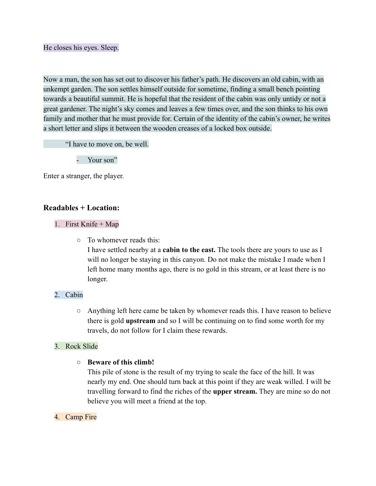#### He closes his eyes. Sleep.

Now a man, the son has set out to discover his father's path. He discovers an old cabin, with an unkempt garden. The son settles himself outside for sometime, finding a small bench pointing towards a beautiful summit. He is hopeful that the resident of the cabin was only untidy or not a great gardener. The night's sky comes and leaves a few times over, and the son thinks to his own family and mother that he must provide for. Certain of the identity of the cabin's owner, he writes a short letter and slips it between the wooden creases of a locked box outside.

"I have to move on, be well.

Your son"

Enter a stranger, the player.

## **Readables + Location:**

### 1. First Knife + Map

○ To whomever reads this:

I have settled nearby at a **cabin to the east.** The tools there are yours to use as I will no longer be staying in this canyon. Do not make the mistake I made when I left home many months ago, there is no gold in this stream, or at least there is no longer.

### 2. Cabin

○ Anything left here came be taken by whomever reads this. I have reason to believe there is gold **upstream** and so I will be continuing on to find some worth for my travels, do not follow for I claim these rewards.

### 3. Rock Slide

### **○ Beware of this climb!**

This pile of stone is the result of my trying to scale the face of the hill. It was nearly my end. One should turn back at this point if they are weak willed. I will be travelling forward to find the riches of the **upper stream.** They are mine so do not believe you will meet a friend at the top.

### 4. Camp Fire